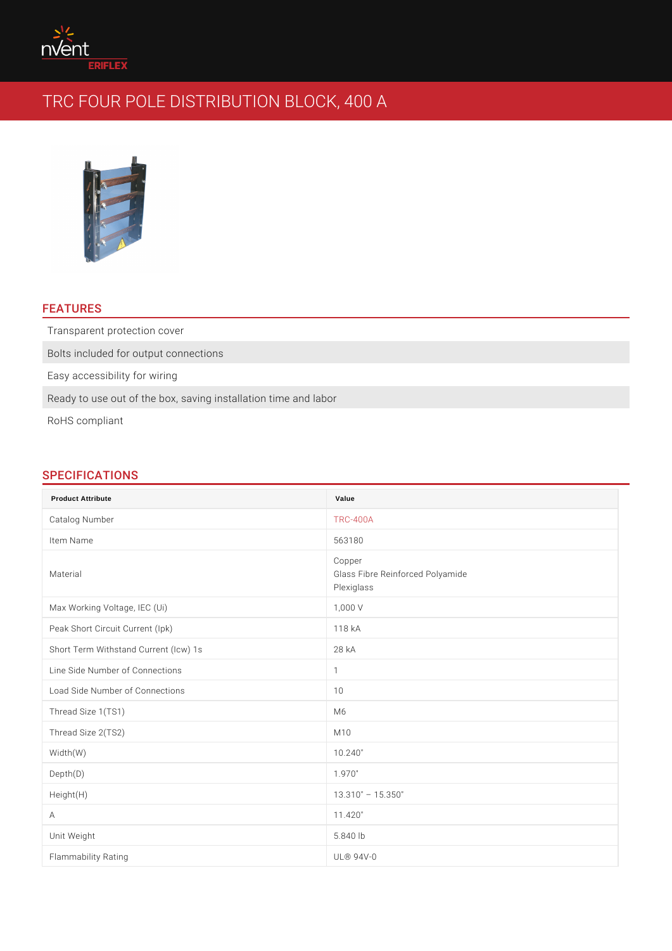### FEATURES

Transparent protection cover

Bolts included for output connections

Easy accessibility for wiring

Ready to use out of the box, saving installation time and labor

RoHS compliant

# SPECIFICATIONS

| <b>Product Attribute</b>              | Value                                                    |
|---------------------------------------|----------------------------------------------------------|
| Catalog Number                        | $TRC - 400A$                                             |
| Item Name                             | 563180                                                   |
| Material                              | Copper<br>Glass Fibre Reinforced Polyamide<br>Plexiglass |
| Max Working Voltage, IEC (Ui)         | 1,000 V                                                  |
| Peak Short Circuit Current (lpk)      | 118 kA                                                   |
| Short Term Withstand Current (Icw) 1s | 28 kA                                                    |
| Line Side Number of Connections       | $\mathbf{1}$                                             |
| Load Side Number of Connections       | 10                                                       |
| Thread Size 1(TS1)                    | M 6                                                      |
| Thread Size 2(TS2)                    | M 1 0                                                    |
| Width (W)                             | 10.240"                                                  |
| Depth(D)                              | 1.970"                                                   |
| Height(H)                             | 15.350"<br>13.310"                                       |
| $\overline{A}$                        | 11.420"                                                  |
| Unit Weight                           | $5.840$ lb                                               |
| Flammability Rating                   | $UL@94V-0$                                               |